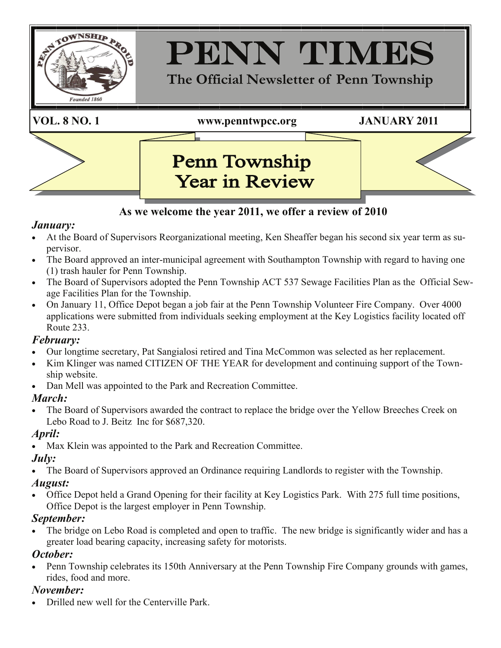

### **As we welcome the year 2011, we offer a review of 2010**

#### *January:*

- At the Board of Supervisors Reorganizational meeting, Ken Sheaffer began his second six year term as supervisor.
- The Board approved an inter-municipal agreement with Southampton Township with regard to having one (1) trash hauler for Penn Township.
- The Board of Supervisors adopted the Penn Township ACT 537 Sewage Facilities Plan as the Official Sewage Facilities Plan for the Township.
- On January 11, Office Depot began a job fair at the Penn Township Volunteer Fire Company. Over 4000 applications were submitted from individuals seeking employment at the Key Logistics facility located off Route 233.

#### *February:*

- Our longtime secretary, Pat Sangialosi retired and Tina McCommon was selected as her replacement.
- Kim Klinger was named CITIZEN OF THE YEAR for development and continuing support of the Township website.
- Dan Mell was appointed to the Park and Recreation Committee.

### *March:*

The Board of Supervisors awarded the contract to replace the bridge over the Yellow Breeches Creek on Lebo Road to J. Beitz Inc for \$687,320.

### *April:*

Max Klein was appointed to the Park and Recreation Committee.

## *July:*

• The Board of Supervisors approved an Ordinance requiring Landlords to register with the Township.

### *August:*

• Office Depot held a Grand Opening for their facility at Key Logistics Park. With 275 full time positions, Office Depot is the largest employer in Penn Township.

# *September:*

• The bridge on Lebo Road is completed and open to traffic. The new bridge is significantly wider and has a greater load bearing capacity, increasing safety for motorists.

## *October:*

• Penn Township celebrates its 150th Anniversary at the Penn Township Fire Company grounds with games, rides, food and more.

# *November:*

• Drilled new well for the Centerville Park.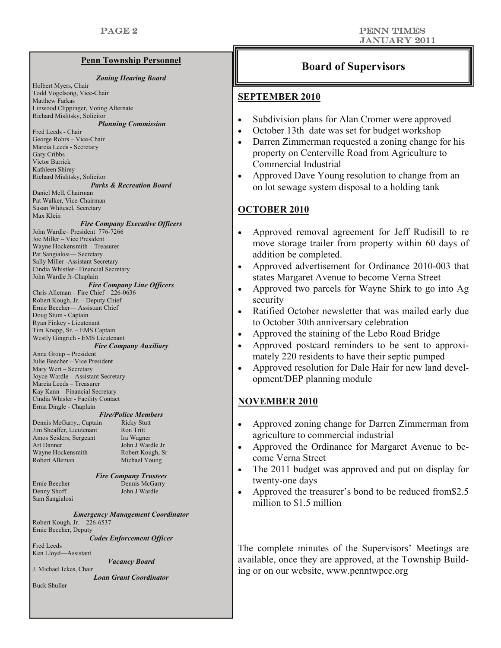*Zoning Hearing Board* 

Matthew Farkas Linwood Clippinger, Voting Alternate Richard Mislitsky, Solicitor *Planning Commission* Fred Leeds - Chair George Rohrs – Vice-Chair Marcia Leeds - Secretary Gary Cribbs Victor Barrick Kathleen Shirey Richard Mislitsky, Solicitor *Parks & Recreation Board*  Daniel Mell, Chairman Pat Walker, Vice-Chairman Susan Whitesel, Secretary Max Klein *Fire Company Executive Officers* John Wardle– President 776-7266 Joe Miller – Vice President Wayne Hockensmith – Treasurer Pat Sangialosi— Secretary Sally Miller -Assistant Secretary Cindia Whistler– Financial Secretary John Wardle Jr-Chaplain *Fire Company Line Officers*  Chris Alleman – Fire Chief – 226-0636 Robert Kough, Jr. – Deputy Chief

Holbert Myers, Chair Todd Vogelsong, Vice-Chair

Ernie Beecher— Assistant Chief Doug Stum - Captain Ryan Finkey - Lieutenant Tim Knepp, Sr. – EMS Captain Westly Gingrich - EMS Lieutenant

#### *Fire Company Auxiliary*

Anna Group – President Julie Beecher – Vice President Mary Wert – Secretary Joyce Wardle – Assistant Secretary Marcia Leeds – Treasurer Kay Kann – Financial Secretary Cindia Whisler - Facility Contact Erma Dingle - Chaplain

#### *Fire/Police Members*

Dennis McGarry., Captain Ricky Stutt Jim Sheaffer, Lieutenant Ron Tritt<br>Amos Seiders, Sergeant Ira Wagner Amos Seiders, Sergeant Art Danner John J Wardle Jr Wayne Hockensmith Robert Kough, Sr Robert Alleman Michael Young

*Fire Company Trustees*  Ernie Beecher Dennis McGarry Denny Shoff John J Wardle

*Emergency Management Coordinator*  Robert Kough, Jr. – 226-6537 Ernie Beecher, Deputy

*Codes Enforcement Officer* 

Fred Leeds Ken Lloyd—Assistant

Sam Sangialosi

*Vacancy Board* 

J. Michael Ickes, Chair *Loan Grant Coordinator* 

Buck Shuller

# **Penn Township Personnel Example 1 Constant Constant Point Point Point Point Point Point Point Point Point Point Point Point Point Point Point Point Point Point Point Point Point Point Point Point Point Point Point Point P**

#### **SEPTEMBER 2010**

- Subdivision plans for Alan Cromer were approved
- October 13th date was set for budget workshop
- Darren Zimmerman requested a zoning change for his property on Centerville Road from Agriculture to Commercial Industrial
- Approved Dave Young resolution to change from an on lot sewage system disposal to a holding tank

#### **OCTOBER 2010**

- Approved removal agreement for Jeff Rudisill to re move storage trailer from property within 60 days of addition be completed.
- Approved advertisement for Ordinance 2010-003 that states Margaret Avenue to become Verna Street
- Approved two parcels for Wayne Shirk to go into Ag security
- Ratified October newsletter that was mailed early due to October 30th anniversary celebration
- Approved the staining of the Lebo Road Bridge
- Approved postcard reminders to be sent to approximately 220 residents to have their septic pumped
- Approved resolution for Dale Hair for new land development/DEP planning module

#### **NOVEMBER 2010**

- Approved zoning change for Darren Zimmerman from agriculture to commercial industrial
- Approved the Ordinance for Margaret Avenue to become Verna Street
- The 2011 budget was approved and put on display for twenty-one days
- Approved the treasurer's bond to be reduced from\$2.5 million to \$1.5 million

The complete minutes of the Supervisors' Meetings are available, once they are approved, at the Township Building or on our website, www.penntwpcc.org

#### PENN TIMEs January 2011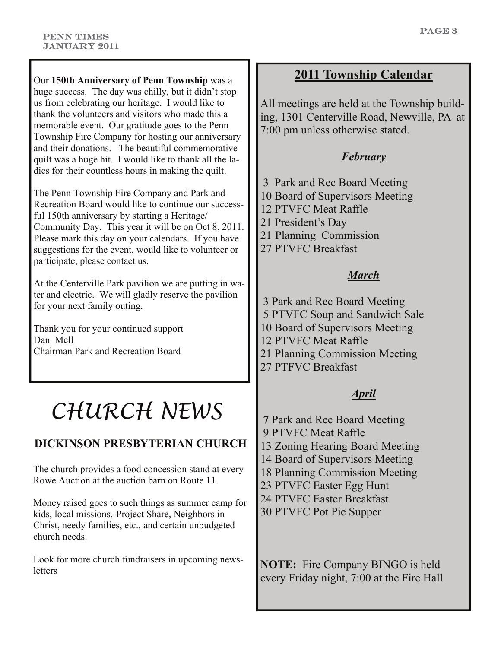Our **150th Anniversary of Penn Township** was a huge success. The day was chilly, but it didn't stop us from celebrating our heritage. I would like to thank the volunteers and visitors who made this a memorable event. Our gratitude goes to the Penn Township Fire Company for hosting our anniversary and their donations. The beautiful commemorative quilt was a huge hit. I would like to thank all the ladies for their countless hours in making the quilt.

The Penn Township Fire Company and Park and Recreation Board would like to continue our successful 150th anniversary by starting a Heritage/ Community Day. This year it will be on Oct 8, 2011. Please mark this day on your calendars. If you have suggestions for the event, would like to volunteer or participate, please contact us.

At the Centerville Park pavilion we are putting in water and electric. We will gladly reserve the pavilion for your next family outing.

Thank you for your continued support Dan Mell Chairman Park and Recreation Board

# *CHURCH NEWS*

# **DICKINSON PRESBYTERIAN CHURCH**

The church provides a food concession stand at every Rowe Auction at the auction barn on Route 11.

Money raised goes to such things as summer camp for kids, local missions,-Project Share, Neighbors in Christ, needy families, etc., and certain unbudgeted church needs.

Look for more church fundraisers in upcoming news**letters** 

## **2011 Township Calendar**

All meetings are held at the Township building, 1301 Centerville Road, Newville, PA at 7:00 pm unless otherwise stated.

### *February*

- 3 Park and Rec Board Meeting
- 10 Board of Supervisors Meeting
- 12 PTVFC Meat Raffle
- 21 President's Day
- 21 Planning Commission
- 27 PTVFC Breakfast

#### *March*

- 3 Park and Rec Board Meeting
- 5 PTVFC Soup and Sandwich Sale
- 10 Board of Supervisors Meeting
- 12 PTVFC Meat Raffle
- 21 Planning Commission Meeting
- 27 PTFVC Breakfast

## *April*

- **7** Park and Rec Board Meeting
- 9 PTVFC Meat Raffle
- 13 Zoning Hearing Board Meeting
- 14 Board of Supervisors Meeting
- 18 Planning Commission Meeting
- 23 PTVFC Easter Egg Hunt
- 24 PTVFC Easter Breakfast
- 30 PTVFC Pot Pie Supper

**NOTE:** Fire Company BINGO is held every Friday night, 7:00 at the Fire Hall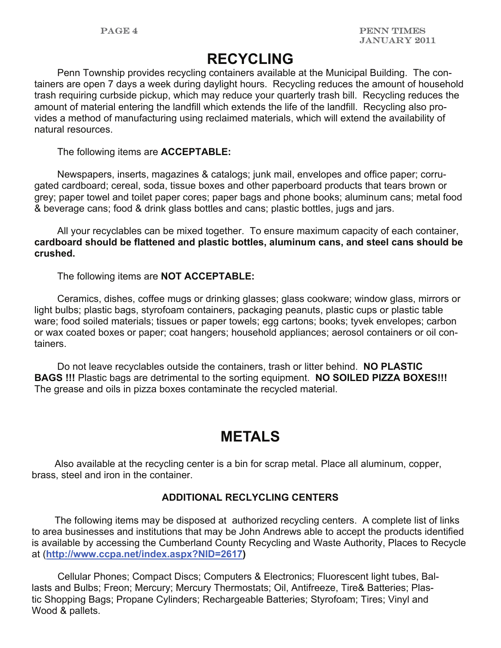# **RECYCLING**

Penn Township provides recycling containers available at the Municipal Building. The containers are open 7 days a week during daylight hours. Recycling reduces the amount of household trash requiring curbside pickup, which may reduce your quarterly trash bill. Recycling reduces the amount of material entering the landfill which extends the life of the landfill. Recycling also provides a method of manufacturing using reclaimed materials, which will extend the availability of natural resources.

The following items are **ACCEPTABLE:**

 Newspapers, inserts, magazines & catalogs; junk mail, envelopes and office paper; corrugated cardboard; cereal, soda, tissue boxes and other paperboard products that tears brown or grey; paper towel and toilet paper cores; paper bags and phone books; aluminum cans; metal food & beverage cans; food & drink glass bottles and cans; plastic bottles, jugs and jars.

 All your recyclables can be mixed together. To ensure maximum capacity of each container, **cardboard should be flattened and plastic bottles, aluminum cans, and steel cans should be crushed.** 

The following items are **NOT ACCEPTABLE:** 

 Ceramics, dishes, coffee mugs or drinking glasses; glass cookware; window glass, mirrors or light bulbs; plastic bags, styrofoam containers, packaging peanuts, plastic cups or plastic table ware; food soiled materials; tissues or paper towels; egg cartons; books; tyvek envelopes; carbon or wax coated boxes or paper; coat hangers; household appliances; aerosol containers or oil containers.

 Do not leave recyclables outside the containers, trash or litter behind. **NO PLASTIC BAGS !!!** Plastic bags are detrimental to the sorting equipment. **NO SOILED PIZZA BOXES!!!**  The grease and oils in pizza boxes contaminate the recycled material.

# **METALS**

Also available at the recycling center is a bin for scrap metal. Place all aluminum, copper, brass, steel and iron in the container.

#### **ADDITIONAL RECLYCLING CENTERS**

 The following items may be disposed at authorized recycling centers. A complete list of links to area businesses and institutions that may be John Andrews able to accept the products identified is available by accessing the Cumberland County Recycling and Waste Authority, Places to Recycle at (**<http://www.ccpa.net/index.aspx?NID=2617>)** 

Cellular Phones; Compact Discs; Computers & Electronics; Fluorescent light tubes, Ballasts and Bulbs; Freon; Mercury; Mercury Thermostats; Oil, Antifreeze, Tire& Batteries; Plastic Shopping Bags; Propane Cylinders; Rechargeable Batteries; Styrofoam; Tires; Vinyl and Wood & pallets.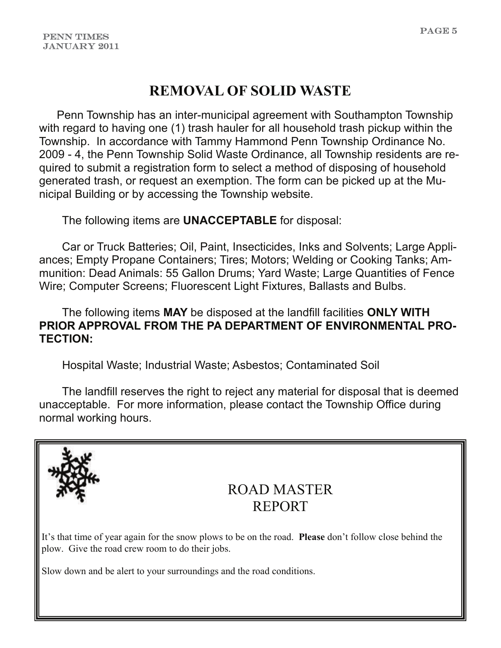# **REMOVAL OF SOLID WASTE**

Penn Township has an inter-municipal agreement with Southampton Township with regard to having one (1) trash hauler for all household trash pickup within the Township. In accordance with Tammy Hammond Penn Township Ordinance No. 2009 - 4, the Penn Township Solid Waste Ordinance, all Township residents are required to submit a registration form to select a method of disposing of household generated trash, or request an exemption. The form can be picked up at the Municipal Building or by accessing the Township website.

The following items are **UNACCEPTABLE** for disposal:

 Car or Truck Batteries; Oil, Paint, Insecticides, Inks and Solvents; Large Appliances; Empty Propane Containers; Tires; Motors; Welding or Cooking Tanks; Ammunition: Dead Animals: 55 Gallon Drums; Yard Waste; Large Quantities of Fence Wire; Computer Screens; Fluorescent Light Fixtures, Ballasts and Bulbs.

#### The following items **MAY** be disposed at the landfill facilities **ONLY WITH PRIOR APPROVAL FROM THE PA DEPARTMENT OF ENVIRONMENTAL PRO-TECTION:**

Hospital Waste; Industrial Waste; Asbestos; Contaminated Soil

 The landfill reserves the right to reject any material for disposal that is deemed unacceptable. For more information, please contact the Township Office during normal working hours.

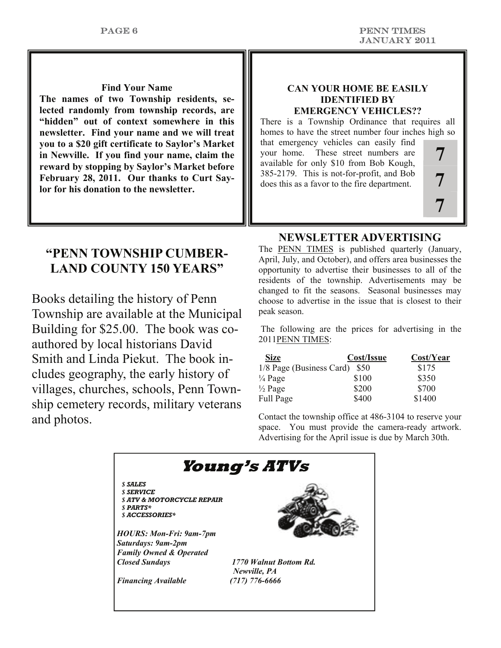#### **Find Your Name**

**The names of two Township residents, selected randomly from township records, are "hidden" out of context somewhere in this newsletter. Find your name and we will treat you to a \$20 gift certificate to Saylor's Market in Newville. If you find your name, claim the reward by stopping by Saylor's Market before February 28, 2011. Our thanks to Curt Saylor for his donation to the newsletter.**

#### **CAN YOUR HOME BE EASILY IDENTIFIED BY EMERGENCY VEHICLES??**

There is a Township Ordinance that requires all homes to have the street number four inches high so

that emergency vehicles can easily find your home. These street numbers are available for only \$10 from Bob Kough, 385-2179. This is not-for-profit, and Bob does this as a favor to the fire department.

# **7 7 7**

# **"PENN TOWNSHIP CUMBER-LAND COUNTY 150 YEARS"**

Books detailing the history of Penn Township are available at the Municipal Building for \$25.00. The book was coauthored by local historians David Smith and Linda Piekut. The book includes geography, the early history of villages, churches, schools, Penn Township cemetery records, military veterans and photos.

#### **NEWSLETTER ADVERTISING**

The PENN TIMES is published quarterly (January, April, July, and October), and offers area businesses the opportunity to advertise their businesses to all of the residents of the township. Advertisements may be changed to fit the seasons. Seasonal businesses may choose to advertise in the issue that is closest to their peak season.

 The following are the prices for advertising in the 2011PENN TIMES:

| Size                     | Cost/Issue | Cost/Year |
|--------------------------|------------|-----------|
| 1/8 Page (Business Card) | - S50      | \$175     |
| $\frac{1}{4}$ Page       | \$100      | \$350     |
| $\frac{1}{2}$ Page       | \$200      | \$700     |
| Full Page                | \$400      | \$1400    |

Contact the township office at 486-3104 to reserve your space. You must provide the camera-ready artwork. Advertising for the April issue is due by March 30th.

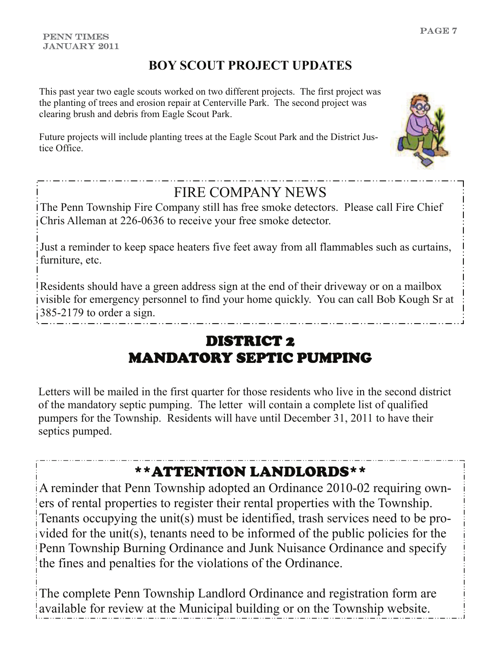# **BOY SCOUT PROJECT UPDATES**

This past year two eagle scouts worked on two different projects. The first project was the planting of trees and erosion repair at Centerville Park. The second project was clearing brush and debris from Eagle Scout Park.

Future projects will include planting trees at the Eagle Scout Park and the District Justice Office.



The Penn Township Fire Company still has free smoke detectors. Please call Fire Chief Chris Alleman at 226-0636 to receive your free smoke detector.

Just a reminder to keep space heaters five feet away from all flammables such as curtains, furniture, etc.

Residents should have a green address sign at the end of their driveway or on a mailbox visible for emergency personnel to find your home quickly. You can call Bob Kough Sr at  $385-2179$  to order a sign.

# DISTRICT 2 MANDATORY SEPTIC PUMPING

Letters will be mailed in the first quarter for those residents who live in the second district of the mandatory septic pumping. The letter will contain a complete list of qualified pumpers for the Township. Residents will have until December 31, 2011 to have their septics pumped.

# \*\*ATTENTION LANDLORDS\*\*

A reminder that Penn Township adopted an Ordinance 2010-02 requiring owners of rental properties to register their rental properties with the Township. Tenants occupying the unit(s) must be identified, trash services need to be provided for the unit(s), tenants need to be informed of the public policies for the Penn Township Burning Ordinance and Junk Nuisance Ordinance and specify the fines and penalties for the violations of the Ordinance.

The complete Penn Township Landlord Ordinance and registration form are available for review at the Municipal building or on the Township website.